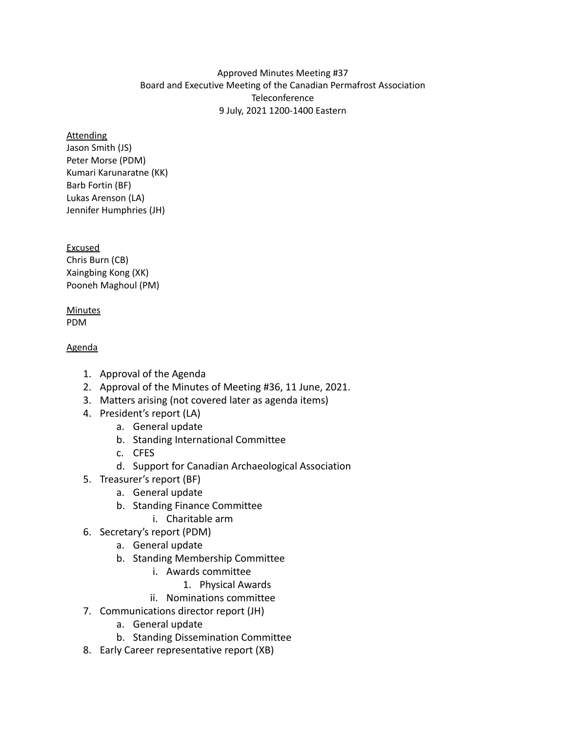### Approved Minutes Meeting #37 Board and Executive Meeting of the Canadian Permafrost Association **Teleconference** 9 July, 2021 1200-1400 Eastern

#### Attending

Jason Smith (JS) Peter Morse (PDM) Kumari Karunaratne (KK) Barb Fortin (BF) Lukas Arenson (LA) Jennifer Humphries (JH)

Excused Chris Burn (CB) Xaingbing Kong (XK) Pooneh Maghoul (PM)

#### **Minutes** PDM

## Agenda

- 1. Approval of the Agenda
- 2. Approval of the Minutes of Meeting #36, 11 June, 2021.
- 3. Matters arising (not covered later as agenda items)
- 4. President's report (LA)
	- a. General update
	- b. Standing International Committee
	- c. CFES
	- d. Support for Canadian Archaeological Association
- 5. Treasurer's report (BF)
	- a. General update
	- b. Standing Finance Committee
		- i. Charitable arm
- 6. Secretary's report (PDM)
	- a. General update
	- b. Standing Membership Committee
		- i. Awards committee
			- 1. Physical Awards
		- ii. Nominations committee
- 7. Communications director report (JH)
	- a. General update
	- b. Standing Dissemination Committee
- 8. Early Career representative report (XB)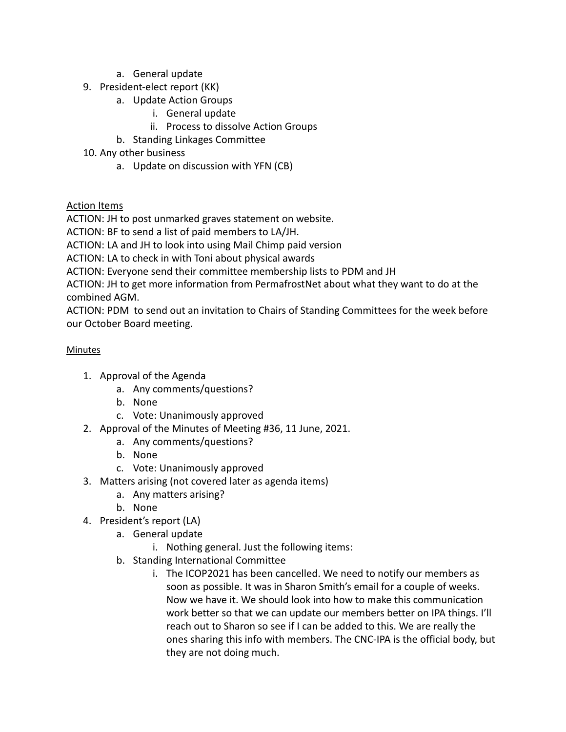- a. General update
- 9. President-elect report (KK)
	- a. Update Action Groups
		- i. General update
		- ii. Process to dissolve Action Groups
	- b. Standing Linkages Committee
- 10. Any other business
	- a. Update on discussion with YFN (CB)

# Action Items

ACTION: JH to post unmarked graves statement on website.

ACTION: BF to send a list of paid members to LA/JH.

ACTION: LA and JH to look into using Mail Chimp paid version

ACTION: LA to check in with Toni about physical awards

ACTION: Everyone send their committee membership lists to PDM and JH

ACTION: JH to get more information from PermafrostNet about what they want to do at the combined AGM.

ACTION: PDM to send out an invitation to Chairs of Standing Committees for the week before our October Board meeting.

## **Minutes**

- 1. Approval of the Agenda
	- a. Any comments/questions?
	- b. None
	- c. Vote: Unanimously approved
- 2. Approval of the Minutes of Meeting #36, 11 June, 2021.
	- a. Any comments/questions?
	- b. None
	- c. Vote: Unanimously approved
- 3. Matters arising (not covered later as agenda items)
	- a. Any matters arising?
	- b. None
- 4. President's report (LA)
	- a. General update
		- i. Nothing general. Just the following items:
	- b. Standing International Committee
		- i. The ICOP2021 has been cancelled. We need to notify our members as soon as possible. It was in Sharon Smith's email for a couple of weeks. Now we have it. We should look into how to make this communication work better so that we can update our members better on IPA things. I'll reach out to Sharon so see if I can be added to this. We are really the ones sharing this info with members. The CNC-IPA is the official body, but they are not doing much.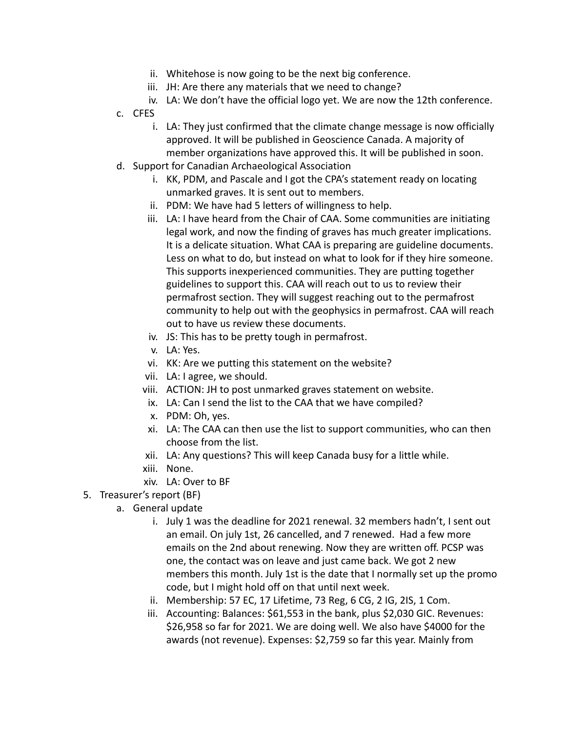- ii. Whitehose is now going to be the next big conference.
- iii. JH: Are there any materials that we need to change?
- iv. LA: We don't have the official logo yet. We are now the 12th conference.
- c. CFES
	- i. LA: They just confirmed that the climate change message is now officially approved. It will be published in Geoscience Canada. A majority of member organizations have approved this. It will be published in soon.
- d. Support for Canadian Archaeological Association
	- i. KK, PDM, and Pascale and I got the CPA's statement ready on locating unmarked graves. It is sent out to members.
	- ii. PDM: We have had 5 letters of willingness to help.
	- iii. LA: I have heard from the Chair of CAA. Some communities are initiating legal work, and now the finding of graves has much greater implications. It is a delicate situation. What CAA is preparing are guideline documents. Less on what to do, but instead on what to look for if they hire someone. This supports inexperienced communities. They are putting together guidelines to support this. CAA will reach out to us to review their permafrost section. They will suggest reaching out to the permafrost community to help out with the geophysics in permafrost. CAA will reach out to have us review these documents.
	- iv. JS: This has to be pretty tough in permafrost.
	- v. LA: Yes.
	- vi. KK: Are we putting this statement on the website?
	- vii. LA: I agree, we should.
	- viii. ACTION: JH to post unmarked graves statement on website.
	- ix. LA: Can I send the list to the CAA that we have compiled?
	- x. PDM: Oh, yes.
	- xi. LA: The CAA can then use the list to support communities, who can then choose from the list.
	- xii. LA: Any questions? This will keep Canada busy for a little while.
	- xiii. None.
	- xiv. LA: Over to BF
- 5. Treasurer's report (BF)
	- a. General update
		- i. July 1 was the deadline for 2021 renewal. 32 members hadn't, I sent out an email. On july 1st, 26 cancelled, and 7 renewed. Had a few more emails on the 2nd about renewing. Now they are written off. PCSP was one, the contact was on leave and just came back. We got 2 new members this month. July 1st is the date that I normally set up the promo code, but I might hold off on that until next week.
		- ii. Membership: 57 EC, 17 Lifetime, 73 Reg, 6 CG, 2 IG, 2IS, 1 Com.
		- iii. Accounting: Balances: \$61,553 in the bank, plus \$2,030 GIC. Revenues: \$26,958 so far for 2021. We are doing well. We also have \$4000 for the awards (not revenue). Expenses: \$2,759 so far this year. Mainly from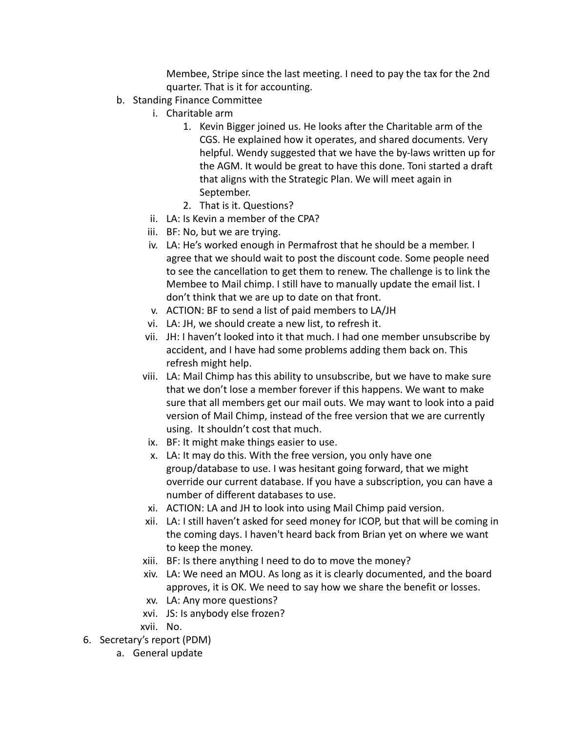Membee, Stripe since the last meeting. I need to pay the tax for the 2nd quarter. That is it for accounting.

- b. Standing Finance Committee
	- i. Charitable arm
		- 1. Kevin Bigger joined us. He looks after the Charitable arm of the CGS. He explained how it operates, and shared documents. Very helpful. Wendy suggested that we have the by-laws written up for the AGM. It would be great to have this done. Toni started a draft that aligns with the Strategic Plan. We will meet again in September.
		- 2. That is it. Questions?
	- ii. LA: Is Kevin a member of the CPA?
	- iii. BF: No, but we are trying.
	- iv. LA: He's worked enough in Permafrost that he should be a member. I agree that we should wait to post the discount code. Some people need to see the cancellation to get them to renew. The challenge is to link the Membee to Mail chimp. I still have to manually update the email list. I don't think that we are up to date on that front.
	- v. ACTION: BF to send a list of paid members to LA/JH
	- vi. LA: JH, we should create a new list, to refresh it.
	- vii. JH: I haven't looked into it that much. I had one member unsubscribe by accident, and I have had some problems adding them back on. This refresh might help.
	- viii. LA: Mail Chimp has this ability to unsubscribe, but we have to make sure that we don't lose a member forever if this happens. We want to make sure that all members get our mail outs. We may want to look into a paid version of Mail Chimp, instead of the free version that we are currently using. It shouldn't cost that much.
		- ix. BF: It might make things easier to use.
		- x. LA: It may do this. With the free version, you only have one group/database to use. I was hesitant going forward, that we might override our current database. If you have a subscription, you can have a number of different databases to use.
	- xi. ACTION: LA and JH to look into using Mail Chimp paid version.
	- xii. LA: I still haven't asked for seed money for ICOP, but that will be coming in the coming days. I haven't heard back from Brian yet on where we want to keep the money.
	- xiii. BF: Is there anything I need to do to move the money?
	- xiv. LA: We need an MOU. As long as it is clearly documented, and the board approves, it is OK. We need to say how we share the benefit or losses.
	- xv. LA: Any more questions?
	- xvi. JS: Is anybody else frozen?
	- xvii. No.
- 6. Secretary's report (PDM)
	- a. General update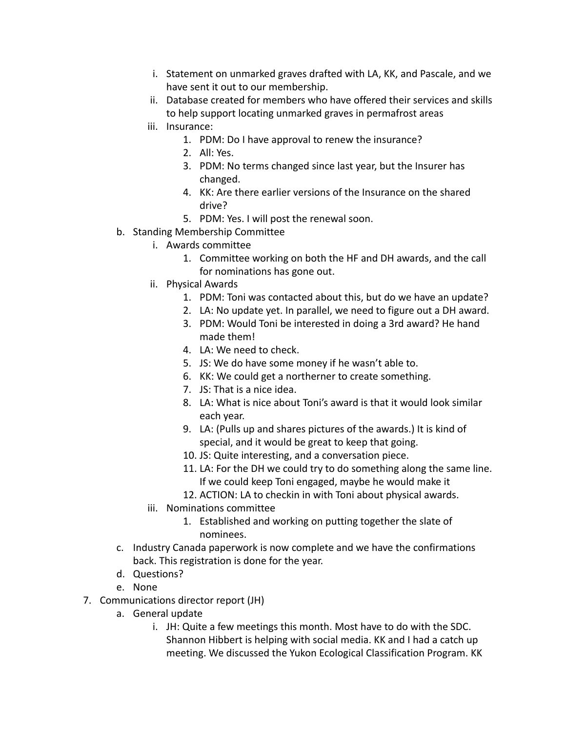- i. Statement on unmarked graves drafted with LA, KK, and Pascale, and we have sent it out to our membership.
- ii. Database created for members who have offered their services and skills to help support locating unmarked graves in permafrost areas
- iii. Insurance:
	- 1. PDM: Do I have approval to renew the insurance?
	- 2. All: Yes.
	- 3. PDM: No terms changed since last year, but the Insurer has changed.
	- 4. KK: Are there earlier versions of the Insurance on the shared drive?
	- 5. PDM: Yes. I will post the renewal soon.
- b. Standing Membership Committee
	- i. Awards committee
		- 1. Committee working on both the HF and DH awards, and the call for nominations has gone out.
	- ii. Physical Awards
		- 1. PDM: Toni was contacted about this, but do we have an update?
		- 2. LA: No update yet. In parallel, we need to figure out a DH award.
		- 3. PDM: Would Toni be interested in doing a 3rd award? He hand made them!
		- 4. LA: We need to check.
		- 5. JS: We do have some money if he wasn't able to.
		- 6. KK: We could get a northerner to create something.
		- 7. JS: That is a nice idea.
		- 8. LA: What is nice about Toni's award is that it would look similar each year.
		- 9. LA: (Pulls up and shares pictures of the awards.) It is kind of special, and it would be great to keep that going.
		- 10. JS: Quite interesting, and a conversation piece.
		- 11. LA: For the DH we could try to do something along the same line. If we could keep Toni engaged, maybe he would make it
		- 12. ACTION: LA to checkin in with Toni about physical awards.
	- iii. Nominations committee
		- 1. Established and working on putting together the slate of nominees.
- c. Industry Canada paperwork is now complete and we have the confirmations back. This registration is done for the year.
- d. Questions?
- e. None
- 7. Communications director report (JH)
	- a. General update
		- i. JH: Quite a few meetings this month. Most have to do with the SDC. Shannon Hibbert is helping with social media. KK and I had a catch up meeting. We discussed the Yukon Ecological Classification Program. KK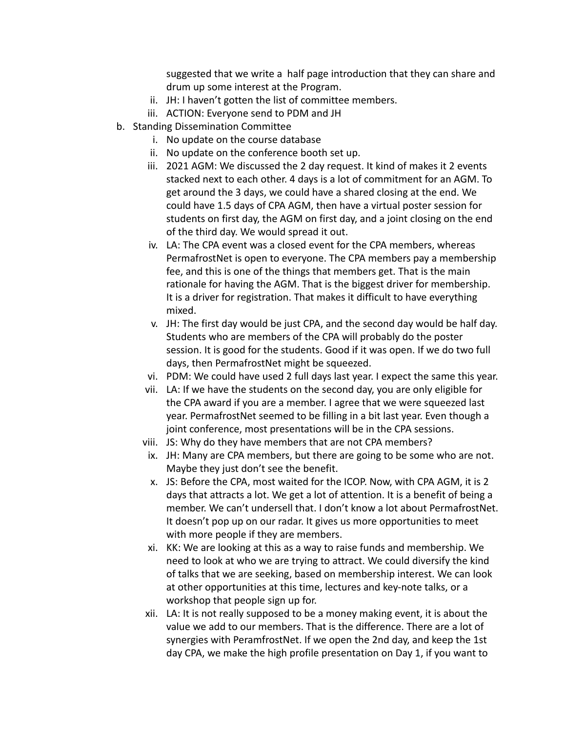suggested that we write a half page introduction that they can share and drum up some interest at the Program.

- ii. JH: I haven't gotten the list of committee members.
- iii. ACTION: Everyone send to PDM and JH
- b. Standing Dissemination Committee
	- i. No update on the course database
	- ii. No update on the conference booth set up.
	- iii. 2021 AGM: We discussed the 2 day request. It kind of makes it 2 events stacked next to each other. 4 days is a lot of commitment for an AGM. To get around the 3 days, we could have a shared closing at the end. We could have 1.5 days of CPA AGM, then have a virtual poster session for students on first day, the AGM on first day, and a joint closing on the end of the third day. We would spread it out.
	- iv. LA: The CPA event was a closed event for the CPA members, whereas PermafrostNet is open to everyone. The CPA members pay a membership fee, and this is one of the things that members get. That is the main rationale for having the AGM. That is the biggest driver for membership. It is a driver for registration. That makes it difficult to have everything mixed.
	- v. JH: The first day would be just CPA, and the second day would be half day. Students who are members of the CPA will probably do the poster session. It is good for the students. Good if it was open. If we do two full days, then PermafrostNet might be squeezed.
	- vi. PDM: We could have used 2 full days last year. I expect the same this year.
	- vii. LA: If we have the students on the second day, you are only eligible for the CPA award if you are a member. I agree that we were squeezed last year. PermafrostNet seemed to be filling in a bit last year. Even though a joint conference, most presentations will be in the CPA sessions.
	- viii. JS: Why do they have members that are not CPA members?
	- ix. JH: Many are CPA members, but there are going to be some who are not. Maybe they just don't see the benefit.
	- x. JS: Before the CPA, most waited for the ICOP. Now, with CPA AGM, it is 2 days that attracts a lot. We get a lot of attention. It is a benefit of being a member. We can't undersell that. I don't know a lot about PermafrostNet. It doesn't pop up on our radar. It gives us more opportunities to meet with more people if they are members.
	- xi. KK: We are looking at this as a way to raise funds and membership. We need to look at who we are trying to attract. We could diversify the kind of talks that we are seeking, based on membership interest. We can look at other opportunities at this time, lectures and key-note talks, or a workshop that people sign up for.
	- xii. LA: It is not really supposed to be a money making event, it is about the value we add to our members. That is the difference. There are a lot of synergies with PeramfrostNet. If we open the 2nd day, and keep the 1st day CPA, we make the high profile presentation on Day 1, if you want to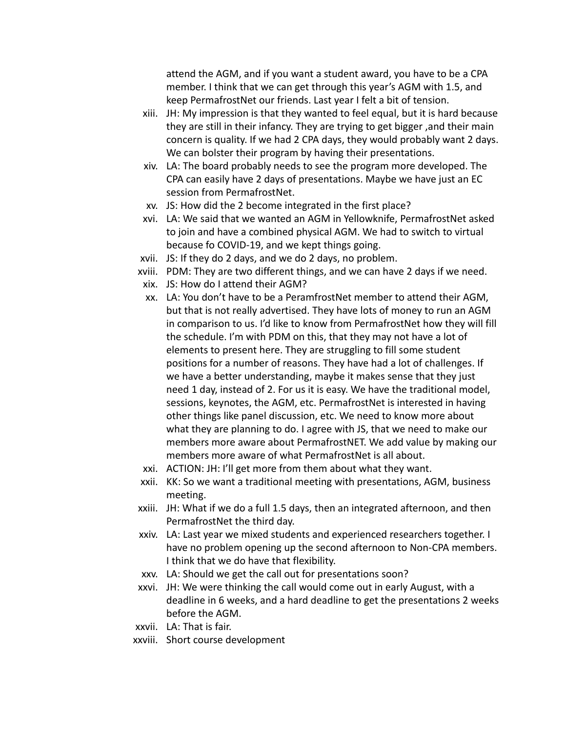attend the AGM, and if you want a student award, you have to be a CPA member. I think that we can get through this year's AGM with 1.5, and keep PermafrostNet our friends. Last year I felt a bit of tension.

- xiii. JH: My impression is that they wanted to feel equal, but it is hard because they are still in their infancy. They are trying to get bigger ,and their main concern is quality. If we had 2 CPA days, they would probably want 2 days. We can bolster their program by having their presentations.
- xiv. LA: The board probably needs to see the program more developed. The CPA can easily have 2 days of presentations. Maybe we have just an EC session from PermafrostNet.
- xv. JS: How did the 2 become integrated in the first place?
- xvi. LA: We said that we wanted an AGM in Yellowknife, PermafrostNet asked to join and have a combined physical AGM. We had to switch to virtual because fo COVID-19, and we kept things going.
- xvii. JS: If they do 2 days, and we do 2 days, no problem.
- xviii. PDM: They are two different things, and we can have 2 days if we need.
- xix. JS: How do I attend their AGM?
- xx. LA: You don't have to be a PeramfrostNet member to attend their AGM, but that is not really advertised. They have lots of money to run an AGM in comparison to us. I'd like to know from PermafrostNet how they will fill the schedule. I'm with PDM on this, that they may not have a lot of elements to present here. They are struggling to fill some student positions for a number of reasons. They have had a lot of challenges. If we have a better understanding, maybe it makes sense that they just need 1 day, instead of 2. For us it is easy. We have the traditional model, sessions, keynotes, the AGM, etc. PermafrostNet is interested in having other things like panel discussion, etc. We need to know more about what they are planning to do. I agree with JS, that we need to make our members more aware about PermafrostNET. We add value by making our members more aware of what PermafrostNet is all about.
- xxi. ACTION: JH: I'll get more from them about what they want.
- xxii. KK: So we want a traditional meeting with presentations, AGM, business meeting.
- xxiii. JH: What if we do a full 1.5 days, then an integrated afternoon, and then PermafrostNet the third day.
- xxiv. LA: Last year we mixed students and experienced researchers together. I have no problem opening up the second afternoon to Non-CPA members. I think that we do have that flexibility.
- xxv. LA: Should we get the call out for presentations soon?
- xxvi. JH: We were thinking the call would come out in early August, with a deadline in 6 weeks, and a hard deadline to get the presentations 2 weeks before the AGM.
- xxvii. LA: That is fair.
- xxviii. Short course development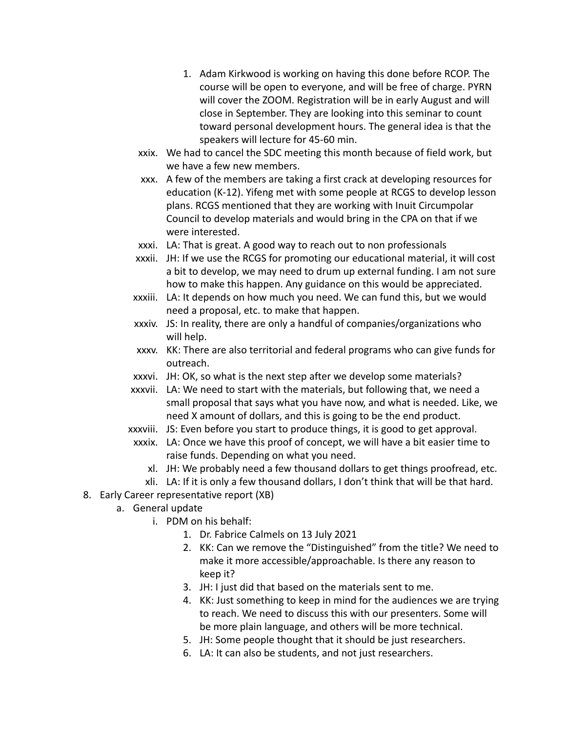- 1. Adam Kirkwood is working on having this done before RCOP. The course will be open to everyone, and will be free of charge. PYRN will cover the ZOOM. Registration will be in early August and will close in September. They are looking into this seminar to count toward personal development hours. The general idea is that the speakers will lecture for 45-60 min.
- xxix. We had to cancel the SDC meeting this month because of field work, but we have a few new members.
- xxx. A few of the members are taking a first crack at developing resources for education (K-12). Yifeng met with some people at RCGS to develop lesson plans. RCGS mentioned that they are working with Inuit Circumpolar Council to develop materials and would bring in the CPA on that if we were interested.
- xxxi. LA: That is great. A good way to reach out to non professionals
- xxxii. JH: If we use the RCGS for promoting our educational material, it will cost a bit to develop, we may need to drum up external funding. I am not sure how to make this happen. Any guidance on this would be appreciated.
- xxxiii. LA: It depends on how much you need. We can fund this, but we would need a proposal, etc. to make that happen.
- xxxiv. JS: In reality, there are only a handful of companies/organizations who will help.
- xxxv. KK: There are also territorial and federal programs who can give funds for outreach.
- xxxvi. JH: OK, so what is the next step after we develop some materials?
- xxxvii. LA: We need to start with the materials, but following that, we need a small proposal that says what you have now, and what is needed. Like, we need X amount of dollars, and this is going to be the end product.
- xxxviii. JS: Even before you start to produce things, it is good to get approval.
- xxxix. LA: Once we have this proof of concept, we will have a bit easier time to raise funds. Depending on what you need.
	- xl. JH: We probably need a few thousand dollars to get things proofread, etc.
	- xli. LA: If it is only a few thousand dollars, I don't think that will be that hard.
- 8. Early Career representative report (XB)
	- a. General update
		- i. PDM on his behalf:
			- 1. Dr. Fabrice Calmels on 13 July 2021
			- 2. KK: Can we remove the "Distinguished" from the title? We need to make it more accessible/approachable. Is there any reason to keep it?
			- 3. JH: I just did that based on the materials sent to me.
			- 4. KK: Just something to keep in mind for the audiences we are trying to reach. We need to discuss this with our presenters. Some will be more plain language, and others will be more technical.
			- 5. JH: Some people thought that it should be just researchers.
			- 6. LA: It can also be students, and not just researchers.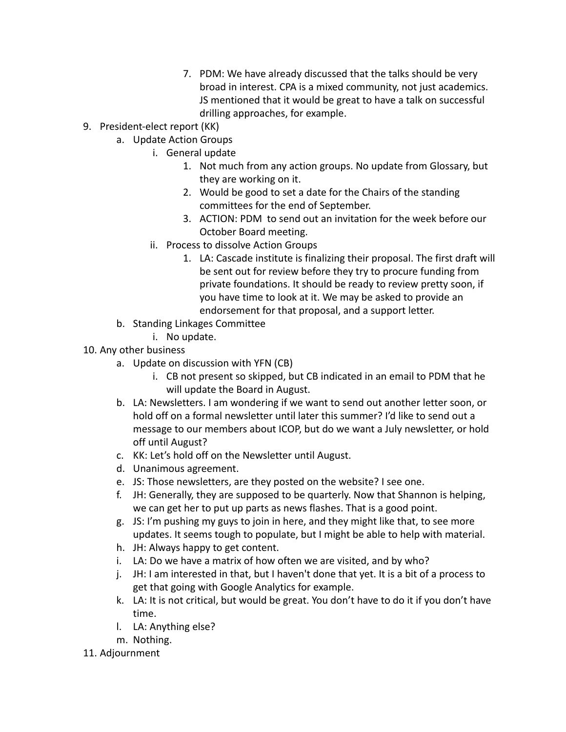- 7. PDM: We have already discussed that the talks should be very broad in interest. CPA is a mixed community, not just academics. JS mentioned that it would be great to have a talk on successful drilling approaches, for example.
- 9. President-elect report (KK)
	- a. Update Action Groups
		- i. General update
			- 1. Not much from any action groups. No update from Glossary, but they are working on it.
			- 2. Would be good to set a date for the Chairs of the standing committees for the end of September.
			- 3. ACTION: PDM to send out an invitation for the week before our October Board meeting.
		- ii. Process to dissolve Action Groups
			- 1. LA: Cascade institute is finalizing their proposal. The first draft will be sent out for review before they try to procure funding from private foundations. It should be ready to review pretty soon, if you have time to look at it. We may be asked to provide an endorsement for that proposal, and a support letter.
	- b. Standing Linkages Committee
		- i. No update.
- 10. Any other business
	- a. Update on discussion with YFN (CB)
		- i. CB not present so skipped, but CB indicated in an email to PDM that he will update the Board in August.
	- b. LA: Newsletters. I am wondering if we want to send out another letter soon, or hold off on a formal newsletter until later this summer? I'd like to send out a message to our members about ICOP, but do we want a July newsletter, or hold off until August?
	- c. KK: Let's hold off on the Newsletter until August.
	- d. Unanimous agreement.
	- e. JS: Those newsletters, are they posted on the website? I see one.
	- f. JH: Generally, they are supposed to be quarterly. Now that Shannon is helping, we can get her to put up parts as news flashes. That is a good point.
	- g. JS: I'm pushing my guys to join in here, and they might like that, to see more updates. It seems tough to populate, but I might be able to help with material.
	- h. JH: Always happy to get content.
	- i. LA: Do we have a matrix of how often we are visited, and by who?
	- j. JH: I am interested in that, but I haven't done that yet. It is a bit of a process to get that going with Google Analytics for example.
	- k. LA: It is not critical, but would be great. You don't have to do it if you don't have time.
	- l. LA: Anything else?
	- m. Nothing.
- 11. Adjournment